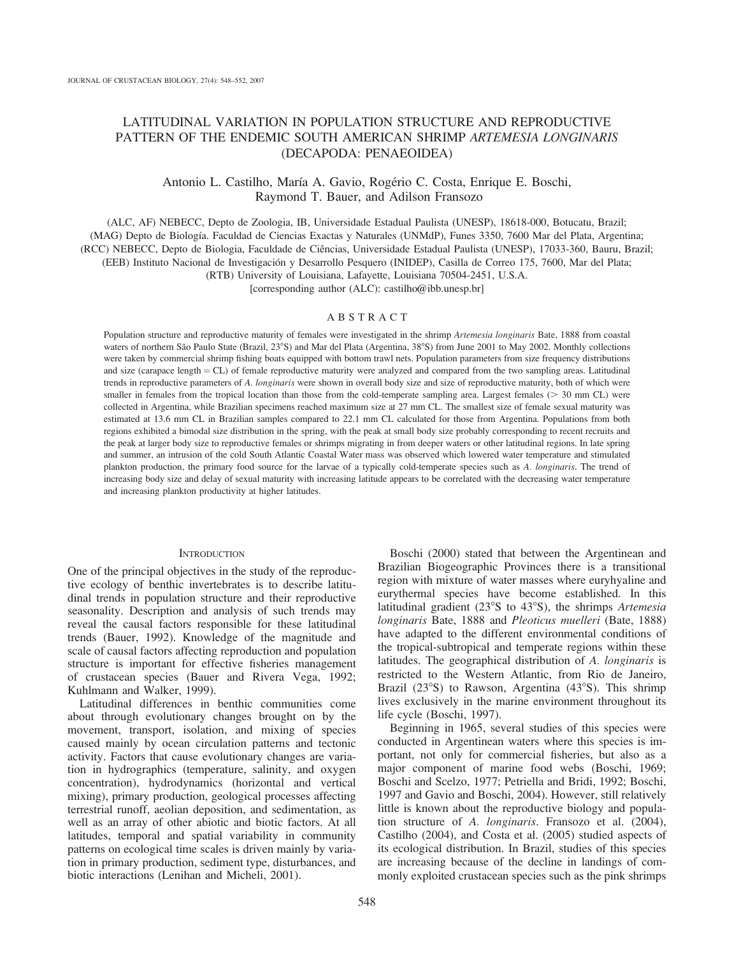# LATITUDINAL VARIATION IN POPULATION STRUCTURE AND REPRODUCTIVE PATTERN OF THE ENDEMIC SOUTH AMERICAN SHRIMP ARTEMESIA LONGINARIS (DECAPODA: PENAEOIDEA)

## Antonio L. Castilho, María A. Gavio, Rogério C. Costa, Enrique E. Boschi, Raymond T. Bauer, and Adilson Fransozo

(ALC, AF) NEBECC, Depto de Zoologia, IB, Universidade Estadual Paulista (UNESP), 18618-000, Botucatu, Brazil; (MAG) Depto de Biologı´a. Faculdad de Ciencias Exactas y Naturales (UNMdP), Funes 3350, 7600 Mar del Plata, Argentina; (RCC) NEBECC, Depto de Biologia, Faculdade de Ciências, Universidade Estadual Paulista (UNESP), 17033-360, Bauru, Brazil; (EEB) Instituto Nacional de Investigación y Desarrollo Pesquero (INIDEP), Casilla de Correo 175, 7600, Mar del Plata;

(RTB) University of Louisiana, Lafayette, Louisiana 70504-2451, U.S.A.

[corresponding author (ALC): castilho@ibb.unesp.br]

## ABSTRACT

Population structure and reproductive maturity of females were investigated in the shrimp Artemesia longinaris Bate, 1888 from coastal waters of northern São Paulo State (Brazil, 23°S) and Mar del Plata (Argentina, 38°S) from June 2001 to May 2002. Monthly collections were taken by commercial shrimp fishing boats equipped with bottom trawl nets. Population parameters from size frequency distributions and size (carapace length  $= CL$ ) of female reproductive maturity were analyzed and compared from the two sampling areas. Latitudinal trends in reproductive parameters of A. longinaris were shown in overall body size and size of reproductive maturity, both of which were smaller in females from the tropical location than those from the cold-temperate sampling area. Largest females ( $>$  30 mm CL) were collected in Argentina, while Brazilian specimens reached maximum size at 27 mm CL. The smallest size of female sexual maturity was estimated at 13.6 mm CL in Brazilian samples compared to 22.1 mm CL calculated for those from Argentina. Populations from both regions exhibited a bimodal size distribution in the spring, with the peak at small body size probably corresponding to recent recruits and the peak at larger body size to reproductive females or shrimps migrating in from deeper waters or other latitudinal regions. In late spring and summer, an intrusion of the cold South Atlantic Coastal Water mass was observed which lowered water temperature and stimulated plankton production, the primary food source for the larvae of a typically cold-temperate species such as A. longinaris. The trend of increasing body size and delay of sexual maturity with increasing latitude appears to be correlated with the decreasing water temperature and increasing plankton productivity at higher latitudes.

## **INTRODUCTION**

One of the principal objectives in the study of the reproductive ecology of benthic invertebrates is to describe latitudinal trends in population structure and their reproductive seasonality. Description and analysis of such trends may reveal the causal factors responsible for these latitudinal trends (Bauer, 1992). Knowledge of the magnitude and scale of causal factors affecting reproduction and population structure is important for effective fisheries management of crustacean species (Bauer and Rivera Vega, 1992; Kuhlmann and Walker, 1999).

Latitudinal differences in benthic communities come about through evolutionary changes brought on by the movement, transport, isolation, and mixing of species caused mainly by ocean circulation patterns and tectonic activity. Factors that cause evolutionary changes are variation in hydrographics (temperature, salinity, and oxygen concentration), hydrodynamics (horizontal and vertical mixing), primary production, geological processes affecting terrestrial runoff, aeolian deposition, and sedimentation, as well as an array of other abiotic and biotic factors. At all latitudes, temporal and spatial variability in community patterns on ecological time scales is driven mainly by variation in primary production, sediment type, disturbances, and biotic interactions (Lenihan and Micheli, 2001).

Boschi (2000) stated that between the Argentinean and Brazilian Biogeographic Provinces there is a transitional region with mixture of water masses where euryhyaline and eurythermal species have become established. In this latitudinal gradient ( $23^{\circ}$ S to  $43^{\circ}$ S), the shrimps *Artemesia* longinaris Bate, 1888 and Pleoticus muelleri (Bate, 1888) have adapted to the different environmental conditions of the tropical-subtropical and temperate regions within these latitudes. The geographical distribution of A. longinaris is restricted to the Western Atlantic, from Rio de Janeiro, Brazil  $(23^{\circ}S)$  to Rawson, Argentina  $(43^{\circ}S)$ . This shrimp lives exclusively in the marine environment throughout its life cycle (Boschi, 1997).

Beginning in 1965, several studies of this species were conducted in Argentinean waters where this species is important, not only for commercial fisheries, but also as a major component of marine food webs (Boschi, 1969; Boschi and Scelzo, 1977; Petriella and Bridi, 1992; Boschi, 1997 and Gavio and Boschi, 2004). However, still relatively little is known about the reproductive biology and population structure of A. longinaris. Fransozo et al. (2004), Castilho (2004), and Costa et al. (2005) studied aspects of its ecological distribution. In Brazil, studies of this species are increasing because of the decline in landings of commonly exploited crustacean species such as the pink shrimps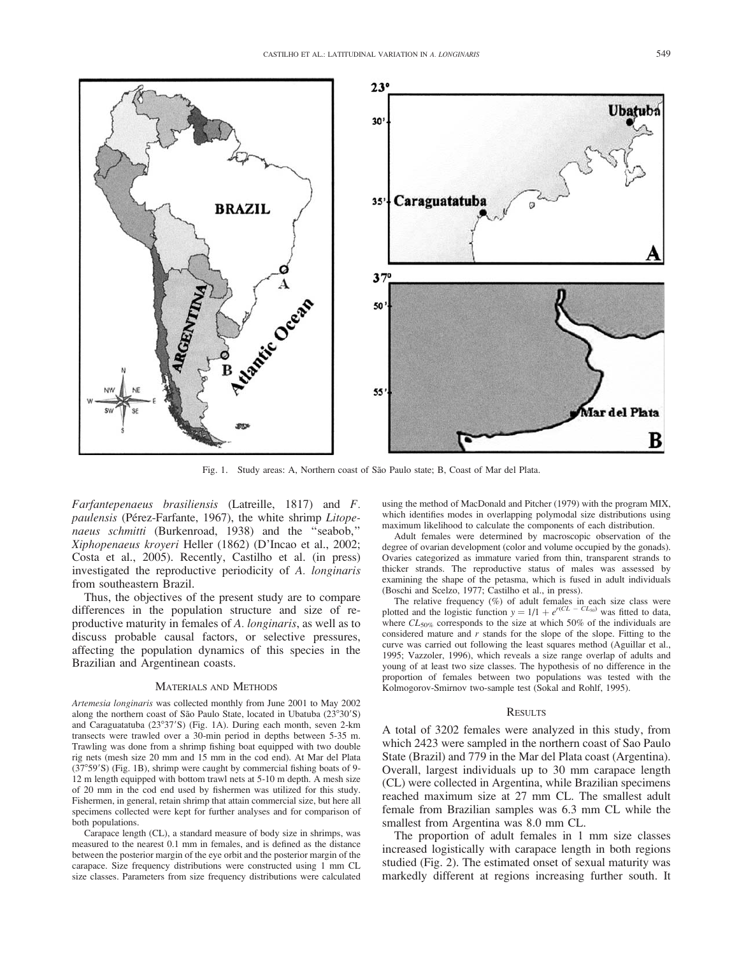

Fig. 1. Study areas: A, Northern coast of São Paulo state; B, Coast of Mar del Plata.

Farfantepenaeus brasiliensis (Latreille, 1817) and F. paulensis (Pérez-Farfante, 1967), the white shrimp Litopenaeus schmitti (Burkenroad, 1938) and the ''seabob,'' Xiphopenaeus kroyeri Heller (1862) (D'Incao et al., 2002; Costa et al., 2005). Recently, Castilho et al. (in press) investigated the reproductive periodicity of A. longinaris from southeastern Brazil.

Thus, the objectives of the present study are to compare differences in the population structure and size of reproductive maturity in females of A. longinaris, as well as to discuss probable causal factors, or selective pressures, affecting the population dynamics of this species in the Brazilian and Argentinean coasts.

## MATERIALS AND METHODS

Artemesia longinaris was collected monthly from June 2001 to May 2002 along the northern coast of São Paulo State, located in Ubatuba  $(23°30'S)$ and Caraguatatuba (23°37'S) (Fig. 1A). During each month, seven 2-km transects were trawled over a 30-min period in depths between 5-35 m. Trawling was done from a shrimp fishing boat equipped with two double rig nets (mesh size 20 mm and 15 mm in the cod end). At Mar del Plata  $(37°59'S)$  (Fig. 1B), shrimp were caught by commercial fishing boats of 9-12 m length equipped with bottom trawl nets at 5-10 m depth. A mesh size of 20 mm in the cod end used by fishermen was utilized for this study. Fishermen, in general, retain shrimp that attain commercial size, but here all specimens collected were kept for further analyses and for comparison of both populations.

Carapace length (CL), a standard measure of body size in shrimps, was measured to the nearest 0.1 mm in females, and is defined as the distance between the posterior margin of the eye orbit and the posterior margin of the carapace. Size frequency distributions were constructed using 1 mm CL size classes. Parameters from size frequency distributions were calculated using the method of MacDonald and Pitcher (1979) with the program MIX, which identifies modes in overlapping polymodal size distributions using maximum likelihood to calculate the components of each distribution.

Adult females were determined by macroscopic observation of the degree of ovarian development (color and volume occupied by the gonads). Ovaries categorized as immature varied from thin, transparent strands to thicker strands. The reproductive status of males was assessed by examining the shape of the petasma, which is fused in adult individuals (Boschi and Scelzo, 1977; Castilho et al., in press).

The relative frequency (%) of adult females in each size class were plotted and the logistic function  $y = 1/1 + e^{r(CL - CL_{50})}$  was fitted to data, where  $CL_{50\%}$  corresponds to the size at which 50% of the individuals are considered mature and  $r$  stands for the slope of the slope. Fitting to the curve was carried out following the least squares method (Aguillar et al., 1995; Vazzoler, 1996), which reveals a size range overlap of adults and young of at least two size classes. The hypothesis of no difference in the proportion of females between two populations was tested with the Kolmogorov-Smirnov two-sample test (Sokal and Rohlf, 1995).

### RESULTS

A total of 3202 females were analyzed in this study, from which 2423 were sampled in the northern coast of Sao Paulo State (Brazil) and 779 in the Mar del Plata coast (Argentina). Overall, largest individuals up to 30 mm carapace length (CL) were collected in Argentina, while Brazilian specimens reached maximum size at 27 mm CL. The smallest adult female from Brazilian samples was 6.3 mm CL while the smallest from Argentina was 8.0 mm CL.

The proportion of adult females in 1 mm size classes increased logistically with carapace length in both regions studied (Fig. 2). The estimated onset of sexual maturity was markedly different at regions increasing further south. It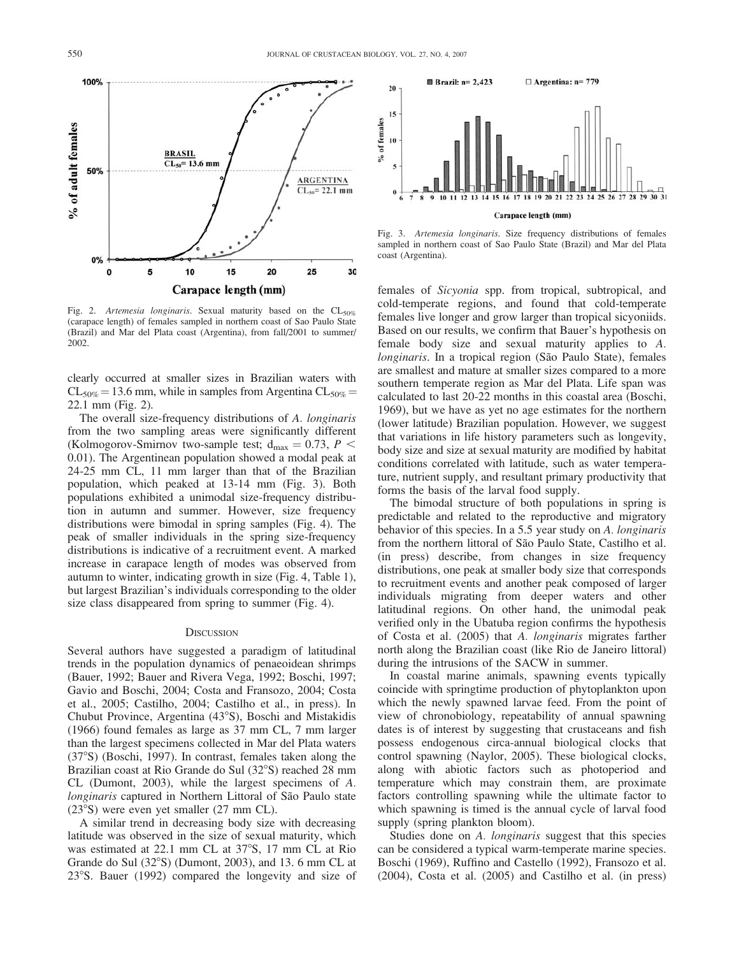**ARGENTINA**  $CL_{50} = 22.1$  mm

25

30

Fig. 2. Artemesia longinaris. Sexual maturity based on the  $CL_{50\%}$ (carapace length) of females sampled in northern coast of Sao Paulo State (Brazil) and Mar del Plata coast (Argentina), from fall/2001 to summer/ 2002.

15

Carapace length (mm)

20

**BRASIL**  $CL<sub>so</sub>=13.6$  mm

10

5

clearly occurred at smaller sizes in Brazilian waters with  $CL_{50\%} = 13.6$  mm, while in samples from Argentina  $CL_{50\%} =$ 22.1 mm (Fig. 2).

The overall size-frequency distributions of A. longinaris from the two sampling areas were significantly different (Kolmogorov-Smirnov two-sample test;  $d_{max} = 0.73$ ,  $P <$ 0.01). The Argentinean population showed a modal peak at 24-25 mm CL, 11 mm larger than that of the Brazilian population, which peaked at 13-14 mm (Fig. 3). Both populations exhibited a unimodal size-frequency distribution in autumn and summer. However, size frequency distributions were bimodal in spring samples (Fig. 4). The peak of smaller individuals in the spring size-frequency distributions is indicative of a recruitment event. A marked increase in carapace length of modes was observed from autumn to winter, indicating growth in size (Fig. 4, Table 1), but largest Brazilian's individuals corresponding to the older size class disappeared from spring to summer (Fig. 4).

#### **DISCUSSION**

Several authors have suggested a paradigm of latitudinal trends in the population dynamics of penaeoidean shrimps (Bauer, 1992; Bauer and Rivera Vega, 1992; Boschi, 1997; Gavio and Boschi, 2004; Costa and Fransozo, 2004; Costa et al., 2005; Castilho, 2004; Castilho et al., in press). In Chubut Province, Argentina (43°S), Boschi and Mistakidis (1966) found females as large as 37 mm CL, 7 mm larger than the largest specimens collected in Mar del Plata waters (378S) (Boschi, 1997). In contrast, females taken along the Brazilian coast at Rio Grande do Sul (32°S) reached 28 mm CL (Dumont, 2003), while the largest specimens of A. longinaris captured in Northern Littoral of São Paulo state  $(23°S)$  were even yet smaller  $(27$  mm CL).

A similar trend in decreasing body size with decreasing latitude was observed in the size of sexual maturity, which was estimated at 22.1 mm CL at  $37^{\circ}$ S, 17 mm CL at Rio Grande do Sul  $(32°S)$  (Dumont, 2003), and 13.6 mm CL at  $23^{\circ}$ S. Bauer (1992) compared the longevity and size of



Fig. 3. Artemesia longinaris. Size frequency distributions of females sampled in northern coast of Sao Paulo State (Brazil) and Mar del Plata coast (Argentina).

females of Sicyonia spp. from tropical, subtropical, and cold-temperate regions, and found that cold-temperate females live longer and grow larger than tropical sicyoniids. Based on our results, we confirm that Bauer's hypothesis on female body size and sexual maturity applies to A. longinaris. In a tropical region (São Paulo State), females are smallest and mature at smaller sizes compared to a more southern temperate region as Mar del Plata. Life span was calculated to last 20-22 months in this coastal area (Boschi, 1969), but we have as yet no age estimates for the northern (lower latitude) Brazilian population. However, we suggest that variations in life history parameters such as longevity, body size and size at sexual maturity are modified by habitat conditions correlated with latitude, such as water temperature, nutrient supply, and resultant primary productivity that forms the basis of the larval food supply.

The bimodal structure of both populations in spring is predictable and related to the reproductive and migratory behavior of this species. In a 5.5 year study on A. longinaris from the northern littoral of São Paulo State, Castilho et al. (in press) describe, from changes in size frequency distributions, one peak at smaller body size that corresponds to recruitment events and another peak composed of larger individuals migrating from deeper waters and other latitudinal regions. On other hand, the unimodal peak verified only in the Ubatuba region confirms the hypothesis of Costa et al. (2005) that A. longinaris migrates farther north along the Brazilian coast (like Rio de Janeiro littoral) during the intrusions of the SACW in summer.

In coastal marine animals, spawning events typically coincide with springtime production of phytoplankton upon which the newly spawned larvae feed. From the point of view of chronobiology, repeatability of annual spawning dates is of interest by suggesting that crustaceans and fish possess endogenous circa-annual biological clocks that control spawning (Naylor, 2005). These biological clocks, along with abiotic factors such as photoperiod and temperature which may constrain them, are proximate factors controlling spawning while the ultimate factor to which spawning is timed is the annual cycle of larval food supply (spring plankton bloom).

Studies done on A. longinaris suggest that this species can be considered a typical warm-temperate marine species. Boschi (1969), Ruffino and Castello (1992), Fransozo et al. (2004), Costa et al. (2005) and Castilho et al. (in press)

% of adult females

100%

50%

 $0%$  $\Omega$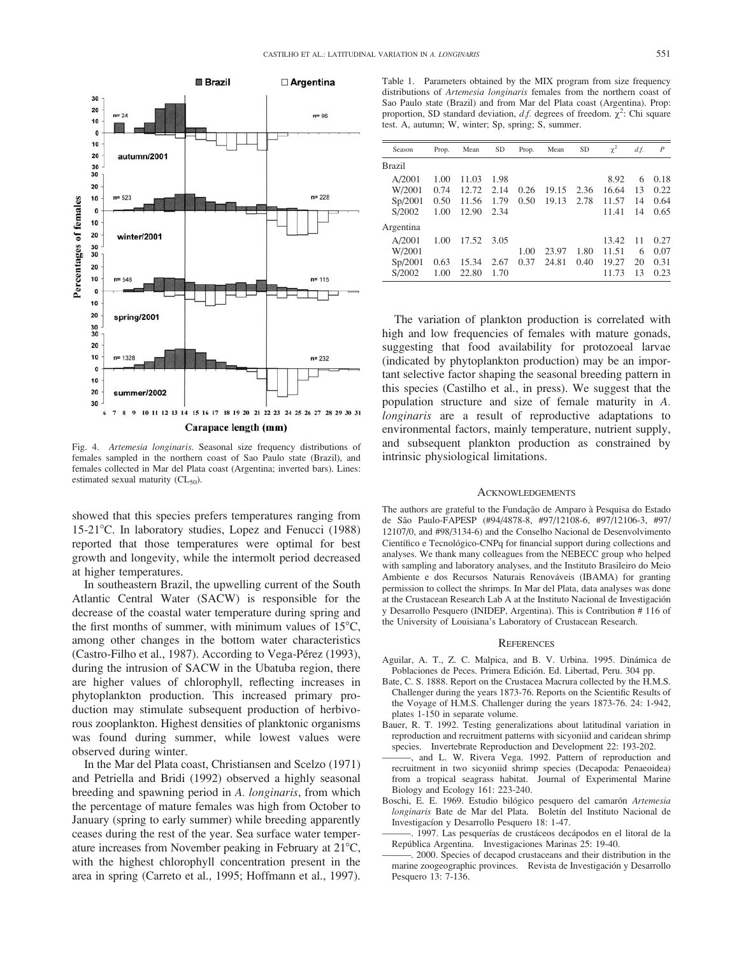

Fig. 4. Artemesia longinaris. Seasonal size frequency distributions of females sampled in the northern coast of Sao Paulo state (Brazil), and females collected in Mar del Plata coast (Argentina; inverted bars). Lines: estimated sexual maturity  $(CL_{50})$ .

showed that this species prefers temperatures ranging from 15-21°C. In laboratory studies, Lopez and Fenucci (1988) reported that those temperatures were optimal for best growth and longevity, while the intermolt period decreased at higher temperatures.

In southeastern Brazil, the upwelling current of the South Atlantic Central Water (SACW) is responsible for the decrease of the coastal water temperature during spring and the first months of summer, with minimum values of  $15^{\circ}$ C, among other changes in the bottom water characteristics (Castro-Filho et al., 1987). According to Vega-Pérez (1993), during the intrusion of SACW in the Ubatuba region, there are higher values of chlorophyll, reflecting increases in phytoplankton production. This increased primary production may stimulate subsequent production of herbivorous zooplankton. Highest densities of planktonic organisms was found during summer, while lowest values were observed during winter.

In the Mar del Plata coast, Christiansen and Scelzo (1971) and Petriella and Bridi (1992) observed a highly seasonal breeding and spawning period in A. longinaris, from which the percentage of mature females was high from October to January (spring to early summer) while breeding apparently ceases during the rest of the year. Sea surface water temperature increases from November peaking in February at  $21^{\circ}C$ , with the highest chlorophyll concentration present in the area in spring (Carreto et al., 1995; Hoffmann et al., 1997).

Table 1. Parameters obtained by the MIX program from size frequency distributions of Artemesia longinaris females from the northern coast of Sao Paulo state (Brazil) and from Mar del Plata coast (Argentina). Prop: proportion, SD standard deviation, d.f. degrees of freedom.  $\chi^2$ : Chi square test. A, autumn; W, winter; Sp, spring; S, summer.

| Season    | Prop. | Mean  | <b>SD</b> | Prop. | Mean  | <b>SD</b> | $\chi^2$ | d.f. | $\boldsymbol{P}$ |
|-----------|-------|-------|-----------|-------|-------|-----------|----------|------|------------------|
| Brazil    |       |       |           |       |       |           |          |      |                  |
| A/2001    | 1.00  | 11.03 | 1.98      |       |       |           | 8.92     | 6    | 0.18             |
| W/2001    | 0.74  | 12.72 | 2.14      | 0.26  | 19.15 | 2.36      | 16.64    | 13   | 0.22             |
| Sp/2001   | 0.50  | 11.56 | 1.79      | 0.50  | 19.13 | 2.78      | 11.57    | 14   | 0.64             |
| S/2002    | 1.00  | 12.90 | 2.34      |       |       |           | 11.41    | 14   | 0.65             |
| Argentina |       |       |           |       |       |           |          |      |                  |
| A/2001    | 1.00  | 17.52 | 3.05      |       |       |           | 13.42    | 11   | 0.27             |
| W/2001    |       |       |           | 1.00  | 23.97 | 1.80      | 11.51    | 6    | 0.07             |
| Sp/2001   | 0.63  | 15.34 | 2.67      | 0.37  | 24.81 | 0.40      | 19.27    | 20   | 0.31             |
| S/2002    | 1.00  | 22.80 | 1.70      |       |       |           | 11.73    | 13   | 0.23             |

The variation of plankton production is correlated with high and low frequencies of females with mature gonads, suggesting that food availability for protozoeal larvae (indicated by phytoplankton production) may be an important selective factor shaping the seasonal breeding pattern in this species (Castilho et al., in press). We suggest that the population structure and size of female maturity in A. longinaris are a result of reproductive adaptations to environmental factors, mainly temperature, nutrient supply, and subsequent plankton production as constrained by intrinsic physiological limitations.

#### ACKNOWLEDGEMENTS

The authors are grateful to the Fundação de Amparo à Pesquisa do Estado de São Paulo-FAPESP (#94/4878-8, #97/12108-6, #97/12106-3, #97/ 12107/0, and #98/3134-6) and the Conselho Nacional de Desenvolvimento Científico e Tecnológico-CNPq for financial support during collections and analyses. We thank many colleagues from the NEBECC group who helped with sampling and laboratory analyses, and the Instituto Brasileiro do Meio Ambiente e dos Recursos Naturais Renováveis (IBAMA) for granting permission to collect the shrimps. In Mar del Plata, data analyses was done at the Crustacean Research Lab A at the Instituto Nacional de Investigación y Desarrollo Pesquero (INIDEP, Argentina). This is Contribution # 116 of the University of Louisiana's Laboratory of Crustacean Research.

#### **REFERENCES**

- Aguilar, A. T., Z. C. Malpica, and B. V. Urbina. 1995. Dinámica de Poblaciones de Peces. Primera Edición. Ed. Libertad, Peru. 304 pp.
- Bate, C. S. 1888. Report on the Crustacea Macrura collected by the H.M.S. Challenger during the years 1873-76. Reports on the Scientific Results of the Voyage of H.M.S. Challenger during the years 1873-76. 24: 1-942, plates 1-150 in separate volume.
- Bauer, R. T. 1992. Testing generalizations about latitudinal variation in reproduction and recruitment patterns with sicyoniid and caridean shrimp species. Invertebrate Reproduction and Development 22: 193-202.
- and L. W. Rivera Vega. 1992. Pattern of reproduction and recruitment in two sicyoniid shrimp species (Decapoda: Penaeoidea) from a tropical seagrass habitat. Journal of Experimental Marine Biology and Ecology 161: 223-240.
- Boschi, E. E. 1969. Estudio bilógico pesquero del camarón Artemesia longinaris Bate de Mar del Plata. Boletín del Instituto Nacional de Investigacíon y Desarrollo Pesquero 18: 1-47.
- 1997. Las pesquerías de crustáceos decápodos en el litoral de la Repu´blica Argentina. Investigaciones Marinas 25: 19-40.
- ———. 2000. Species of decapod crustaceans and their distribution in the marine zoogeographic provinces. Revista de Investigación y Desarrollo Pesquero 13: 7-136.